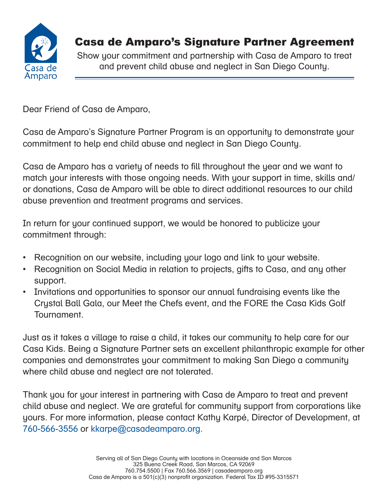

# Casa de Amparo's Signature Partner Agreement

Show your commitment and partnership with Casa de Amparo to treat and prevent child abuse and neglect in San Diego County.

Dear Friend of Casa de Amparo,

Casa de Amparo's Signature Partner Program is an opportunity to demonstrate your commitment to help end child abuse and neglect in San Diego County.

Casa de Amparo has a variety of needs to fill throughout the year and we want to match your interests with those ongoing needs. With your support in time, skills and/ or donations, Casa de Amparo will be able to direct additional resources to our child abuse prevention and treatment programs and services.

In return for your continued support, we would be honored to publicize your commitment through:

- Recognition on our website, including your logo and link to your website.
- Recognition on Social Media in relation to projects, gifts to Casa, and any other support.
- Invitations and opportunities to sponsor our annual fundraising events like the Crystal Ball Gala, our Meet the Chefs event, and the FORE the Casa Kids Golf Tournament.

Just as it takes a village to raise a child, it takes our community to help care for our Casa Kids. Being a Signature Partner sets an excellent philanthropic example for other companies and demonstrates your commitment to making San Diego a community where child abuse and neglect are not tolerated.

Thank you for your interest in partnering with Casa de Amparo to treat and prevent child abuse and neglect. We are grateful for community support from corporations like yours. For more information, please contact Kathy Karpé, Director of Development, at 760-566-3556 or kkarpe@casadeamparo.org.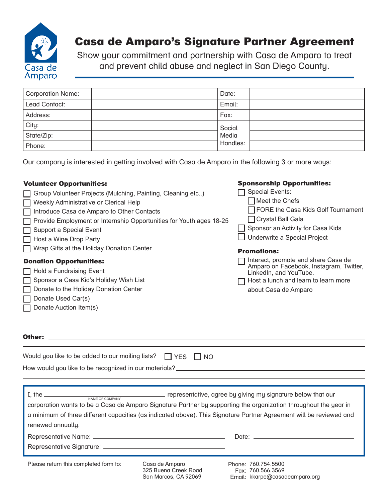

## Casa de Amparo's Signature Partner Agreement

Show your commitment and partnership with Casa de Amparo to treat and prevent child abuse and neglect in San Diego County.

| Corporation Name: | Date:    |
|-------------------|----------|
| Lead Contact:     | Email:   |
| Address:          | Fax:     |
| City:             | Social   |
| State/Zip:        | Media    |
| Phone:            | Handles: |

Our company is interested in getting involved with Casa de Amparo in the following 3 or more ways:

### Volunteer Opportunities:

- Group Volunteer Projects (Mulching, Painting, Cleaning etc..)
- Weekly Administrative or Clerical Help
- □ Introduce Casa de Amparo to Other Contacts
- $\Box$  Provide Employment or Internship Opportunities for Youth ages 18-25
- □ Support a Special Event
- $\Box$  Host a Wine Drop Party
- **T** Wrap Gifts at the Holiday Donation Center

### Donation Opportunities:

- $\Box$  Hold a Fundraising Event
- □ Sponsor a Casa Kid's Holiday Wish List
- Donate to the Holiday Donation Center
- $\Box$  Donate Used Car(s)
- **Donate Auction Item(s)**

#### Other:

| Would you like to be added to our mailing lists? $\Box$ YES $\Box$ NO |  |
|-----------------------------------------------------------------------|--|
| How would you like to be recognized in our materials?                 |  |

| NAME OF COMPANY<br>renewed annually.  |                                                                | corporation wants to be a Casa de Amparo Signature Partner by supporting the organization throughout the year in<br>a minimum of three different capacities (as indicated above). This Signature Partner Agreement will be reviewed and |
|---------------------------------------|----------------------------------------------------------------|-----------------------------------------------------------------------------------------------------------------------------------------------------------------------------------------------------------------------------------------|
|                                       |                                                                |                                                                                                                                                                                                                                         |
|                                       |                                                                |                                                                                                                                                                                                                                         |
|                                       |                                                                |                                                                                                                                                                                                                                         |
| Please return this completed form to: | Casa de Amparo<br>325 Bueng Creek Road<br>San Marcos, CA 92069 | Phone: 760.754.5500<br>Fax: 760.566.3569<br>Email: kkarpe@casadeamparo.org                                                                                                                                                              |

Sponsorship Opportunities:

| □ Special Events:                    |
|--------------------------------------|
| $\Box$ Meet the Chefs                |
| □ FORE the Casa Kids Golf Tournament |
| □ Crystal Ball Gala                  |
| Sponsor an Activity for Casa Kids    |
| □ Underwrite a Special Project       |
|                                      |

#### Promotions:

- **□ Interact, promote and share Casa de** Amparo on Facebook, Instagram, Twitter, LinkedIn, and YouTube.
- $\Box$  Host a lunch and learn to learn more about Casa de Amparo